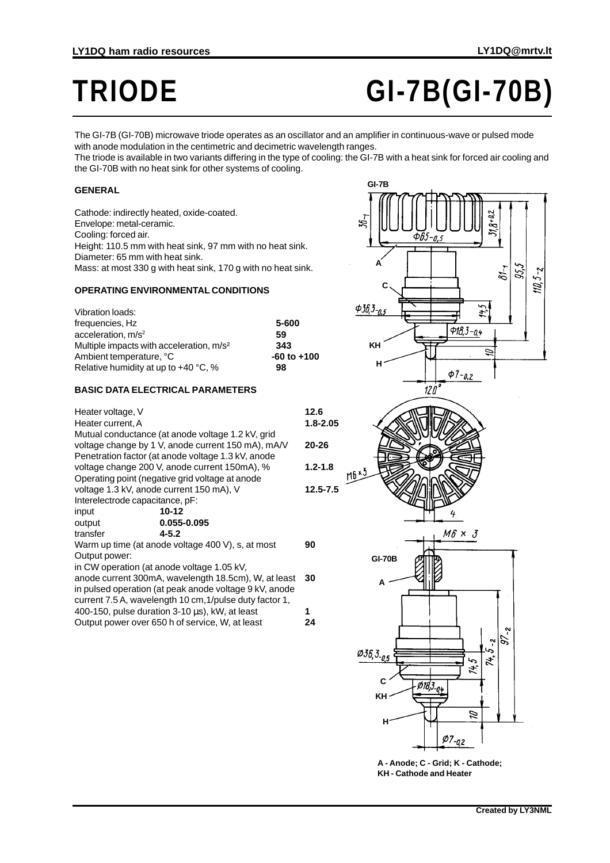# **TRIODE GI-7B(GI-70B)**

The GI-7B (GI-70B) microwave triode operates as an oscillator and an amplifier in continuous-wave or pulsed mode with anode modulation in the centimetric and decimetric wavelength ranges.

The triode is available in two variants differing in the type of cooling: the GI-7B with a heat sink for forced air cooling and the GI-70B with no heat sink for other systems of cooling.

### **GENERAL**

Cathode: indirectly heated, oxide-coated. Envelope: metal-ceramic. Cooling: forced air. Height: 110.5 mm with heat sink, 97 mm with no heat sink. Diameter: 65 mm with heat sink. Mass: at most 330 g with heat sink, 170 g with no heat sink.

## **OPERATING ENVIRONMENTAL CONDITIONS**

| Vibration loads:                                     |                 |
|------------------------------------------------------|-----------------|
| frequencies, Hz                                      | 5-600           |
| acceleration, m/s <sup>2</sup>                       | 59              |
| Multiple impacts with acceleration, m/s <sup>2</sup> | 343             |
| Ambient temperature, °C                              | $-60$ to $+100$ |
| Relative humidity at up to +40 °C, %                 | 98              |
|                                                      |                 |

#### **BASIC DATA ELECTRICAL PARAMETERS**

| Heater voltage, V<br>Heater current, A                 |                                                         | 12.6<br>1.8-2.05 |
|--------------------------------------------------------|---------------------------------------------------------|------------------|
|                                                        | Mutual conductance (at anode voltage 1.2 kV, grid       |                  |
|                                                        | voltage change by 1 V, anode current 150 mA), mA/V      | $20 - 26$        |
|                                                        | Penetration factor (at anode voltage 1.3 kV, anode      |                  |
|                                                        | voltage change 200 V, anode current 150mA), %           | $1.2 - 1.8$      |
|                                                        | Operating point (negative grid voltage at anode         |                  |
|                                                        | voltage 1.3 kV, anode current 150 mA), V                | $12.5 - 7.5$     |
| Interelectrode capacitance, pF:                        |                                                         |                  |
| input                                                  | 10-12                                                   |                  |
| output                                                 | 0.055-0.095                                             |                  |
| transfer                                               | $4 - 5.2$                                               |                  |
|                                                        | Warm up time (at anode voltage 400 V), s, at most       | 90               |
| Output power:                                          |                                                         |                  |
|                                                        | in CW operation (at anode voltage 1.05 kV,              |                  |
|                                                        | anode current 300mA, wavelength 18.5cm), W, at least    | 30               |
| in pulsed operation (at peak anode voltage 9 kV, anode |                                                         |                  |
|                                                        | current 7.5 A, wavelength 10 cm, 1/pulse duty factor 1, |                  |
|                                                        | 400-150, pulse duration 3-10 μs), kW, at least          | 1                |
| Output power over 650 h of service, W, at least        |                                                         |                  |
|                                                        |                                                         | 24               |







4

**A - Anode; C - Grid; K - Cathode; KH - Cathode and Heater**